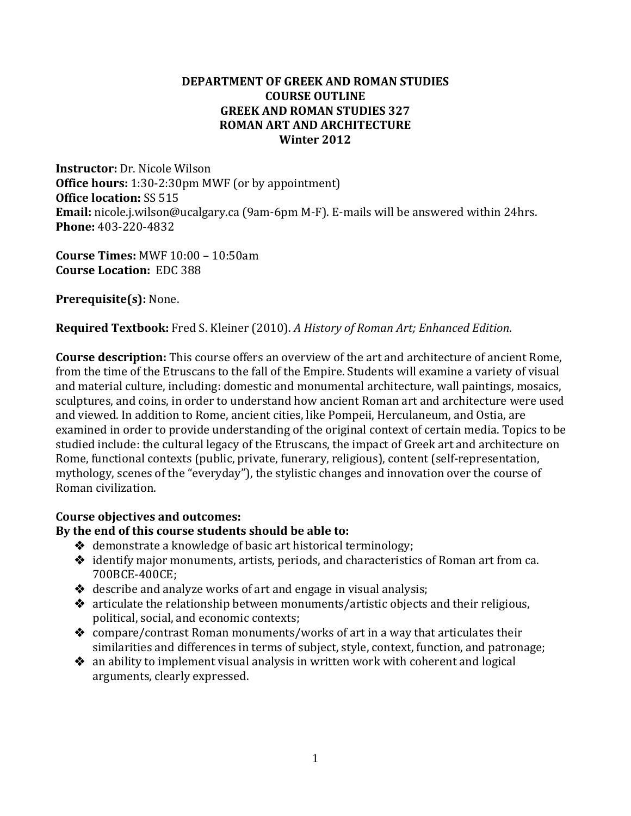## **DEPARTMENT OF GREEK AND ROMAN STUDIES COURSE OUTLINE GREEK AND ROMAN STUDIES 327 ROMAN ART AND ARCHITECTURE Winter 2012**

**Instructor:** Dr. Nicole Wilson **Office hours:** 1:30-2:30pm MWF (or by appointment) **Office location:** SS 515 **Email:** [nicole.j.wilson@ucalgary.ca](mailto:nicole.j.wilson@ucalgary.ca) (9am-6pm M-F). E-mails will be answered within 24hrs. **Phone:** 403-220-4832

**Course Times:** MWF 10:00 – 10:50am **Course Location:** EDC 388

**Prerequisite(s):** None.

**Required Textbook:** Fred S. Kleiner (2010). *A History of Roman Art; Enhanced Edition*.

**Course description:** This course offers an overview of the art and architecture of ancient Rome, from the time of the Etruscans to the fall of the Empire. Students will examine a variety of visual and material culture, including: domestic and monumental architecture, wall paintings, mosaics, sculptures, and coins, in order to understand how ancient Roman art and architecture were used and viewed. In addition to Rome, ancient cities, like Pompeii, Herculaneum, and Ostia, are examined in order to provide understanding of the original context of certain media. Topics to be studied include: the cultural legacy of the Etruscans, the impact of Greek art and architecture on Rome, functional contexts (public, private, funerary, religious), content (self-representation, mythology, scenes of the "everyday"), the stylistic changes and innovation over the course of Roman civilization.

## **Course objectives and outcomes:**

# **By the end of this course students should be able to:**

- $\triangleleft$  demonstrate a knowledge of basic art historical terminology;
- identify major monuments, artists, periods, and characteristics of Roman art from ca. 700BCE-400CE;
- $\triangleleft$  describe and analyze works of art and engage in visual analysis;
- articulate the relationship between monuments/artistic objects and their religious, political, social, and economic contexts;
- compare/contrast Roman monuments/works of art in a way that articulates their similarities and differences in terms of subject, style, context, function, and patronage;
- $\triangleq$  an ability to implement visual analysis in written work with coherent and logical arguments, clearly expressed.